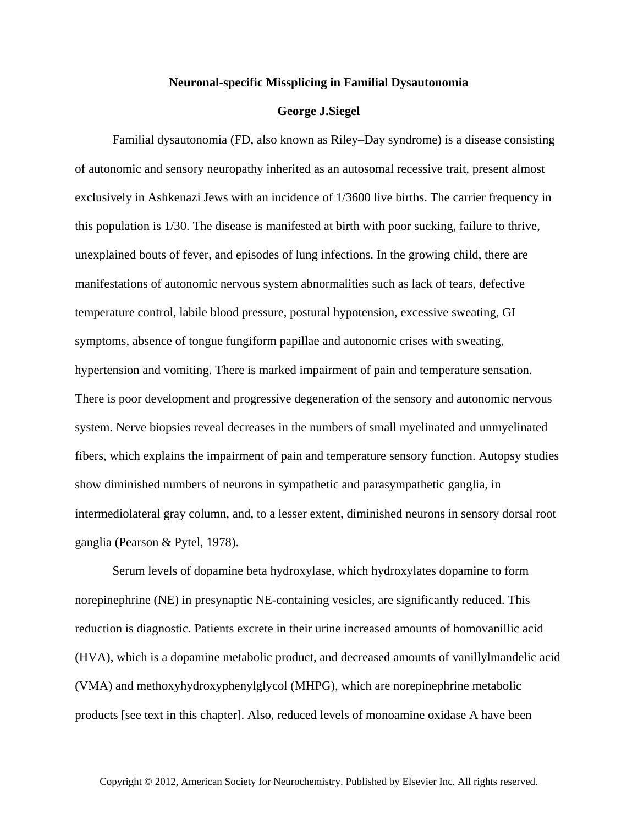## **Neuronal-specific Missplicing in Familial Dysautonomia**

## **George J.Siegel**

Familial dysautonomia (FD, also known as Riley–Day syndrome) is a disease consisting of autonomic and sensory neuropathy inherited as an autosomal recessive trait, present almost exclusively in Ashkenazi Jews with an incidence of 1/3600 live births. The carrier frequency in this population is 1/30. The disease is manifested at birth with poor sucking, failure to thrive, unexplained bouts of fever, and episodes of lung infections. In the growing child, there are manifestations of autonomic nervous system abnormalities such as lack of tears, defective temperature control, labile blood pressure, postural hypotension, excessive sweating, GI symptoms, absence of tongue fungiform papillae and autonomic crises with sweating, hypertension and vomiting. There is marked impairment of pain and temperature sensation. There is poor development and progressive degeneration of the sensory and autonomic nervous system. Nerve biopsies reveal decreases in the numbers of small myelinated and unmyelinated fibers, which explains the impairment of pain and temperature sensory function. Autopsy studies show diminished numbers of neurons in sympathetic and parasympathetic ganglia, in intermediolateral gray column, and, to a lesser extent, diminished neurons in sensory dorsal root ganglia (Pearson & Pytel, 1978).

Serum levels of dopamine beta hydroxylase, which hydroxylates dopamine to form norepinephrine (NE) in presynaptic NE-containing vesicles, are significantly reduced. This reduction is diagnostic. Patients excrete in their urine increased amounts of homovanillic acid (HVA), which is a dopamine metabolic product, and decreased amounts of vanillylmandelic acid (VMA) and methoxyhydroxyphenylglycol (MHPG), which are norepinephrine metabolic products [see text in this chapter]. Also, reduced levels of monoamine oxidase A have been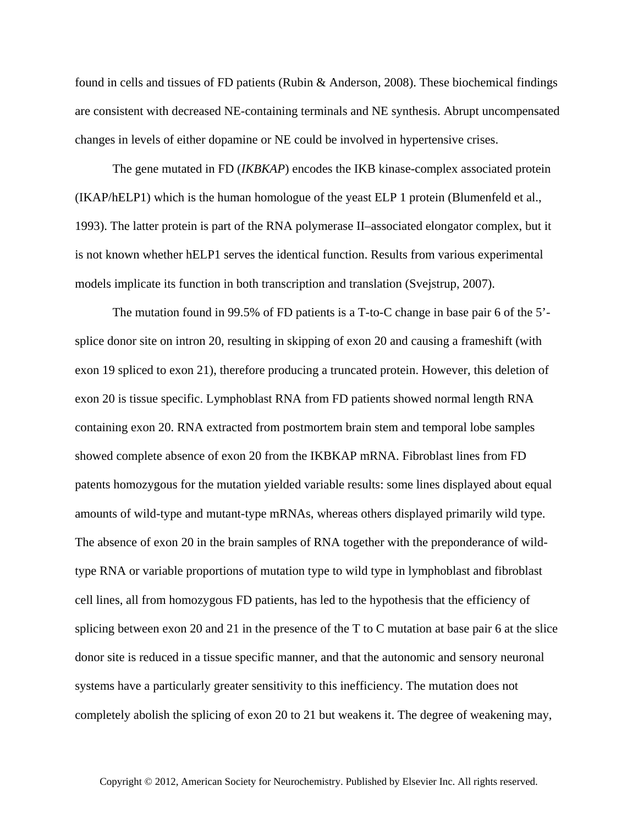found in cells and tissues of FD patients (Rubin & Anderson, 2008). These biochemical findings are consistent with decreased NE-containing terminals and NE synthesis. Abrupt uncompensated changes in levels of either dopamine or NE could be involved in hypertensive crises.

The gene mutated in FD (*IKBKAP*) encodes the IKB kinase-complex associated protein (IKAP/hELP1) which is the human homologue of the yeast ELP 1 protein (Blumenfeld et al., 1993). The latter protein is part of the RNA polymerase II–associated elongator complex, but it is not known whether hELP1 serves the identical function. Results from various experimental models implicate its function in both transcription and translation (Svejstrup, 2007).

The mutation found in 99.5% of FD patients is a T-to-C change in base pair 6 of the 5' splice donor site on intron 20, resulting in skipping of exon 20 and causing a frameshift (with exon 19 spliced to exon 21), therefore producing a truncated protein. However, this deletion of exon 20 is tissue specific. Lymphoblast RNA from FD patients showed normal length RNA containing exon 20. RNA extracted from postmortem brain stem and temporal lobe samples showed complete absence of exon 20 from the IKBKAP mRNA. Fibroblast lines from FD patents homozygous for the mutation yielded variable results: some lines displayed about equal amounts of wild-type and mutant-type mRNAs, whereas others displayed primarily wild type. The absence of exon 20 in the brain samples of RNA together with the preponderance of wildtype RNA or variable proportions of mutation type to wild type in lymphoblast and fibroblast cell lines, all from homozygous FD patients, has led to the hypothesis that the efficiency of splicing between exon 20 and 21 in the presence of the T to C mutation at base pair 6 at the slice donor site is reduced in a tissue specific manner, and that the autonomic and sensory neuronal systems have a particularly greater sensitivity to this inefficiency. The mutation does not completely abolish the splicing of exon 20 to 21 but weakens it. The degree of weakening may,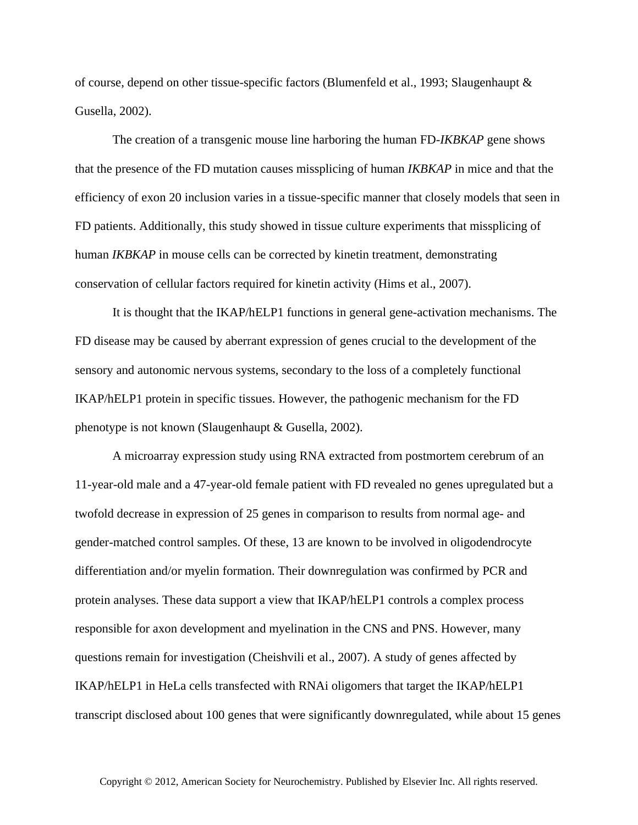of course, depend on other tissue-specific factors (Blumenfeld et al., 1993; Slaugenhaupt & Gusella, 2002).

The creation of a transgenic mouse line harboring the human FD-*IKBKAP* gene shows that the presence of the FD mutation causes missplicing of human *IKBKAP* in mice and that the efficiency of exon 20 inclusion varies in a tissue-specific manner that closely models that seen in FD patients. Additionally, this study showed in tissue culture experiments that missplicing of human *IKBKAP* in mouse cells can be corrected by kinetin treatment, demonstrating conservation of cellular factors required for kinetin activity (Hims et al., 2007).

It is thought that the IKAP/hELP1 functions in general gene-activation mechanisms. The FD disease may be caused by aberrant expression of genes crucial to the development of the sensory and autonomic nervous systems, secondary to the loss of a completely functional IKAP/hELP1 protein in specific tissues. However, the pathogenic mechanism for the FD phenotype is not known (Slaugenhaupt & Gusella, 2002).

A microarray expression study using RNA extracted from postmortem cerebrum of an 11-year-old male and a 47-year-old female patient with FD revealed no genes upregulated but a twofold decrease in expression of 25 genes in comparison to results from normal age- and gender-matched control samples. Of these, 13 are known to be involved in oligodendrocyte differentiation and/or myelin formation. Their downregulation was confirmed by PCR and protein analyses. These data support a view that IKAP/hELP1 controls a complex process responsible for axon development and myelination in the CNS and PNS. However, many questions remain for investigation (Cheishvili et al., 2007). A study of genes affected by IKAP/hELP1 in HeLa cells transfected with RNAi oligomers that target the IKAP/hELP1 transcript disclosed about 100 genes that were significantly downregulated, while about 15 genes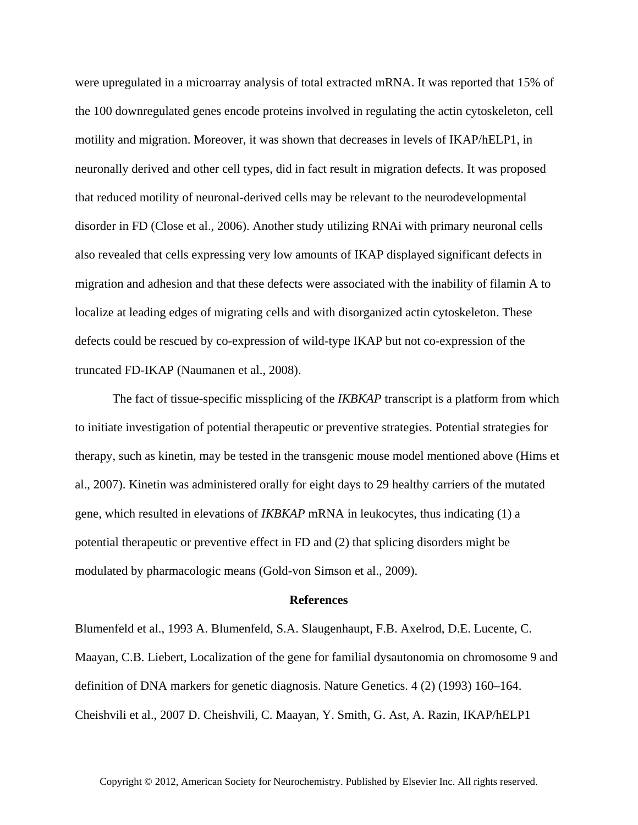were upregulated in a microarray analysis of total extracted mRNA. It was reported that 15% of the 100 downregulated genes encode proteins involved in regulating the actin cytoskeleton, cell motility and migration. Moreover, it was shown that decreases in levels of IKAP/hELP1, in neuronally derived and other cell types, did in fact result in migration defects. It was proposed that reduced motility of neuronal-derived cells may be relevant to the neurodevelopmental disorder in FD (Close et al., 2006). Another study utilizing RNAi with primary neuronal cells also revealed that cells expressing very low amounts of IKAP displayed significant defects in migration and adhesion and that these defects were associated with the inability of filamin A to localize at leading edges of migrating cells and with disorganized actin cytoskeleton. These defects could be rescued by co-expression of wild-type IKAP but not co-expression of the truncated FD-IKAP (Naumanen et al., 2008).

The fact of tissue-specific missplicing of the *IKBKAP* transcript is a platform from which to initiate investigation of potential therapeutic or preventive strategies. Potential strategies for therapy, such as kinetin, may be tested in the transgenic mouse model mentioned above (Hims et al., 2007). Kinetin was administered orally for eight days to 29 healthy carriers of the mutated gene, which resulted in elevations of *IKBKAP* mRNA in leukocytes, thus indicating (1) a potential therapeutic or preventive effect in FD and (2) that splicing disorders might be modulated by pharmacologic means (Gold-von Simson et al., 2009).

## **References**

Blumenfeld et al., 1993 A. Blumenfeld, S.A. Slaugenhaupt, F.B. Axelrod, D.E. Lucente, C. Maayan, C.B. Liebert, Localization of the gene for familial dysautonomia on chromosome 9 and definition of DNA markers for genetic diagnosis. Nature Genetics. 4 (2) (1993) 160–164. Cheishvili et al., 2007 D. Cheishvili, C. Maayan, Y. Smith, G. Ast, A. Razin, IKAP/hELP1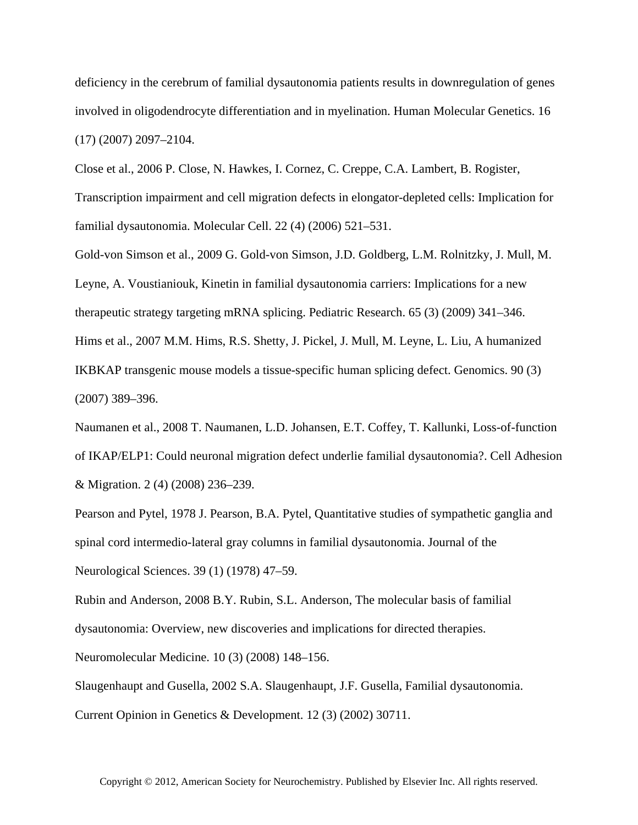deficiency in the cerebrum of familial dysautonomia patients results in downregulation of genes involved in oligodendrocyte differentiation and in myelination. Human Molecular Genetics. 16 (17) (2007) 2097–2104.

Close et al., 2006 P. Close, N. Hawkes, I. Cornez, C. Creppe, C.A. Lambert, B. Rogister, Transcription impairment and cell migration defects in elongator-depleted cells: Implication for familial dysautonomia. Molecular Cell. 22 (4) (2006) 521–531.

Gold-von Simson et al., 2009 G. Gold-von Simson, J.D. Goldberg, L.M. Rolnitzky, J. Mull, M. Leyne, A. Voustianiouk, Kinetin in familial dysautonomia carriers: Implications for a new therapeutic strategy targeting mRNA splicing. Pediatric Research. 65 (3) (2009) 341–346. Hims et al., 2007 M.M. Hims, R.S. Shetty, J. Pickel, J. Mull, M. Leyne, L. Liu, A humanized IKBKAP transgenic mouse models a tissue-specific human splicing defect. Genomics. 90 (3) (2007) 389–396.

Naumanen et al., 2008 T. Naumanen, L.D. Johansen, E.T. Coffey, T. Kallunki, Loss-of-function of IKAP/ELP1: Could neuronal migration defect underlie familial dysautonomia?. Cell Adhesion & Migration. 2 (4) (2008) 236–239.

Pearson and Pytel, 1978 J. Pearson, B.A. Pytel, Quantitative studies of sympathetic ganglia and spinal cord intermedio-lateral gray columns in familial dysautonomia. Journal of the Neurological Sciences. 39 (1) (1978) 47–59.

Rubin and Anderson, 2008 B.Y. Rubin, S.L. Anderson, The molecular basis of familial dysautonomia: Overview, new discoveries and implications for directed therapies.

Neuromolecular Medicine. 10 (3) (2008) 148–156.

Slaugenhaupt and Gusella, 2002 S.A. Slaugenhaupt, J.F. Gusella, Familial dysautonomia. Current Opinion in Genetics & Development. 12 (3) (2002) 30711.